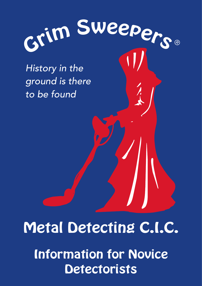

History in the ground is there to be found

### Metal Detecting C.I.C.

Information for Novice **Detectorists**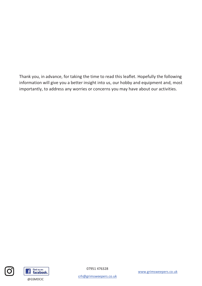Thank you, in advance, for taking the time to read this leaflet. Hopefully the following information will give you a better insight into us, our hobby and equipment and, most importantly, to address any worries or concerns you may have about our activities.





07951 476328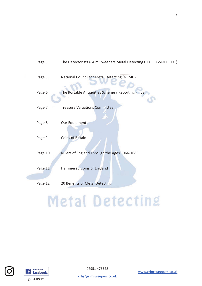| Page 3  | The Detectorists (Grim Sweepers Metal Detecting C.I.C. - GSMD C.I.C.) |
|---------|-----------------------------------------------------------------------|
| Page 5  | National Council for Metal Detecting (NCMD)                           |
| Page 6  | The Portable Antiquities Scheme / Reporting Finds                     |
| Page 7  | <b>Treasure Valuations Committee</b>                                  |
| Page 8  | Our Equipment                                                         |
| Page 9  | <b>Coins of Britain</b>                                               |
| Page 10 | Rulers of England Through the Ages 1066-1685                          |
| Page 11 | Hammered Coins of England                                             |
|         |                                                                       |
| Page 12 | 20 Benefits of Metal Detecting                                        |
|         |                                                                       |

# **Metal Detecting**





 $\sigma$ 

07951 476328

www.grimsweepers.co.uk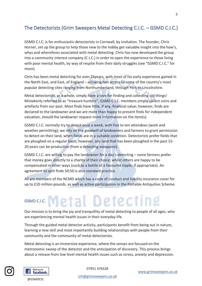### The Detectorists (Grim Sweepers Metal Detecting C.I.C. – GSMD C.I.C.)

GSMD C.I.C. is for enthusiastic detectorists in Cornwall, by invitation. The founder, Chris Horner, set up the group to help those new to the hobby get valuable insight into the how's, whys and wherefores associated with metal detecting. Chris has now developed the group into a community interest company (C.I.C.) in order to open the experience to those living with poor mental health, by way of respite from their daily struggles (see "GSMD C.I.C." for more).

Chris has been metal detecting for over 15 years, with most of his early experience gained in the North East, and East, of England – allowing him access to some of the country's most popular detecting sites ranging from Northumberland, through York to Lincolnshire.

Metal detectorists, as a whole, simply have a love for finding and collecting old things! Mistakenly referred to as "treasure hunters", GSMD C.I.C. members simply collect coins and artefacts from our past. Most finds have little, if any, financial value; however, finds are declared to the landowner and we are more than happy to present finds for independent valuation, should the landowner request more information on the item(s).

GSMD C.I.C. normally try to detect once a week, with five to ten attendees (work and weather permitting); we rely on the goodwill of landowners and farmers to grant permission to detect on their land, when fields are in a suitable condition. Detectorists prefer fields that are ploughed on a regular basis; however, any land that has been ploughed in the past 15-20 years can be productive (from a detecting viewpoint).

GSMD C.I.C. are willing to pay the landowner for a day's detecting  $-$  some farmers prefer that money goes directly to a charity of their choice; whilst others are happy to be compensated in other ways (such as a bottle of a favourite tipple, if appropriate). An agreement to split finds 50:50 is also standard practice.

All are members of the NCMD which has a code of conduct and liability insurance cover for up to £10 million pounds, as well as active participation in the Portable Antiquities Scheme.

### GSMD C.I.C. Metal Detecting

Our mission is to bring the joy and tranguillity of metal detecting to people of all ages, who are experiencing mental health issues in their everyday life.

Through the guided metal detector activity, participants benefit from being out in nature, learning a new skill and most importantly building relationships with people from their community and the community of metal detectorists.

Metal detecting is an immersive experience, where the senses are focused on the metronomic sweep of the detector and the anticipation of discovery. This process brings about a release from low level mental health issues such as stress, anxiety and depression.



Find us on: facebook.

07951 476328

@GSMDCIC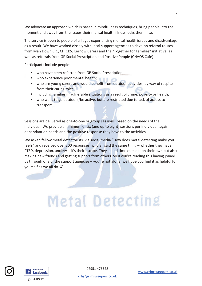We advocate an approach which is based in mindfulness techniques, bring people into the moment and away from the issues their mental health illness locks them into.

The service is open to people of all ages experiencing mental health issues and disadvantage as a result. We have worked closely with local support agencies to develop referral routes from Man Down CIC, CHICKS, Kernow Carers and the "Together for Families" initiative: as well as referrals from GP Social Prescription and Positive People (CHAOS Café).

Participants include people:

- " who have been referred from GP Social Prescription;
- $\mathbf{u}$ who experience poor mental health;
- who are young carers and would benefit from outdoor activities, by way of respite from their caring role:
- " including families in vulnerable situations as a result of crime, poverty or health;
- who want to go outdoors/be active, but are restricted due to lack of access to transport.

Sessions are delivered as one-to-one or group sessions, based on the needs of the individual. We provide a minimum of six (and up to eight) sessions per individual, again dependant on needs and the positive response they have to the activities.

We asked fellow metal detectorists, via social media "How does metal detecting make you feel?" and received over 200 responses, who all said the same thing - whether they have PTSD, depression, anxiety – it's their escape. They spend time outside, on their own but also making new friends and getting support from others. So if you're reading this having joined us through one of the support agencies - you're not alone, we hope you find it as helpful for vourself as we all do.  $\odot$ 

# **Metal Detecting**





07951 476328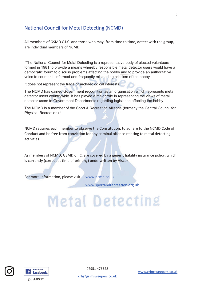### **National Council for Metal Detecting (NCMD)**

All members of GSMD C.I.C. and those who may, from time to time, detect with the group, are individual members of NCMD

"The National Council for Metal Detecting is a representative body of elected volunteers formed in 1981 to provide a means whereby responsible metal detector users would have a democratic forum to discuss problems affecting the hobby and to provide an authoritative voice to counter ill-informed and frequently misleading criticism of the hobby.

It does not represent the trade or archaeological interests.

The NCMD has gained Government recognition as an organisation which represents metal detector users countrywide. It has played a major role in representing the views of metal detector users to Government Departments regarding legislation affecting the hobby.

The NCMD is a member of the Sport & Recreation Alliance (formerly the Central Council for Physical Recreation)."

NCMD requires each member to observe the Constitution, to adhere to the NCMD Code of Conduct and be free from conviction for any criminal offence relating to metal detecting activities.

As members of NCMD, GSMD C.I.C. are covered by a generic liability insurance policy, which is currently (correct at time of printing) underwritten by Hiscox.

For more information, please visit: www.ncmd.co.uk

www.sportandrecreation.org.uk

# **Metal Detecting**





@GSMDCIC

07951 476328

www.grimsweepers.co.uk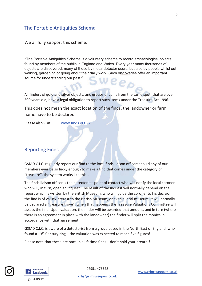### The Portable Antiquities Scheme

We all fully support this scheme.

"The Portable Antiquities Scheme is a voluntary scheme to record archaeological objects found by members of the public in England and Wales. Every year many thousands of objects are discovered, many of these by metal-detector users, but also by people whilst out walking, gardening or going about their daily work. Such discoveries offer an important source for understanding our past." eep

All finders of gold and silver objects, and groups of coins from the same spot, that are over 300 years old, have a legal obligation to report such items under the Treasure Act 1996.

This does not mean the exact location of the finds, the landowner or farm name have to be declared.

Please also visit: www.finds.org.uk

#### **Reporting Finds**

GSMD C.I.C. regularly report our find to the local finds liaison officer; should any of our members ever be so lucky enough to make a find that comes under the category of "treasure", the system works like this...

The finds liaison officer is the detectorists point of contact who will notify the local coroner, who will, in turn, open an inquest. The result of the inquest will normally depend on the report which is written by the British Museum, who will guide the coroner to his decision. If the find is of value/interest to the British Museum, or even a local museum, it will normally be declared a "treasure trove"; when that happens, the Treasure Valuations Committee will assess the find. Upon valuation, the finder will be awarded that amount, and in turn (where there is an agreement in place with the landowner) the finder will split the monies in accordance with that agreement.

GSMD C.I.C. is aware of a detectorist from a group based in the North East of England, who found a  $13<sup>th</sup>$  Century ring – the valuation was expected to reach five figures!

Please note that these are once in a lifetime finds - don't hold your breath!!





07951 476328

www.grimsweepers.co.uk

6

@GSMDCIC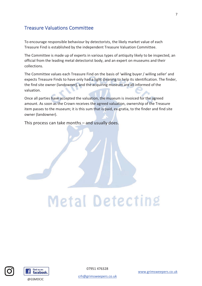### **Treasure Valuations Committee**

To encourage responsible behaviour by detectorists, the likely market value of each Treasure Find is established by the independent Treasure Valuation Committee.

The Committee is made up of experts in various types of antiquity likely to be inspected, an official from the leading metal detectorist body, and an expert on museums and their collections.

The Committee values each Treasure Find on the basis of 'willing buyer / willing seller' and expects Treasure Finds to have only had a light cleaning to help its identification. The finder, the find site owner (landowner), and the acquiring museum are all informed of the valuation.

Once all parties have accepted the valuation, the museum is invoiced for the agreed amount. As soon as the Crown receives the agreed valuation, ownership of the Treasure item passes to the museum; it is this sum that is paid, ex-gratia, to the finder and find site owner (landowner).

This process can take months - and usually does.

# **Metal Detecting**





07951 476328

www.grimsweepers.co.uk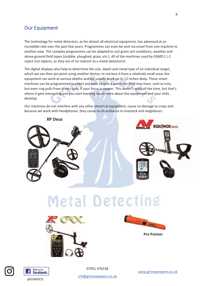#### **Our Equipment**

The technology for metal detectors, as for almost all electrical equipment, has advanced at an incredible rate over the past few years. Programmes can even be sent via email from one machine to another now. The complex programmes can be adapted to suit given soil conditions, weather and above ground field types (stubble, ploughed, grass, etc.). All of the machines used by GSMD C.I.C. reject iron objects, as they are of no interest to a metal detectorist.

The digital displays also help to determine the size, depth and metal type of an individual target, which we can then pin point using another device, to retrieve it from a relatively small area; the equipment can work at various depths and we usually work up to 12 inches deep. These smart machines can be programmed to reject any false targets a particular field may have, such as iron; but even ring pulls from drinks cans, if your focus is copper. This doesn't work all the time, but that's where it gets interesting and you start learning much more about the equipment and your skills develop.

Our machines do not interfere with any other electrical equipment, cause no damage to crops and because we work with headphones, they cause no disturbance to livestock and neighbours.



## **Metal Detecting**





**Pro Pointer** 





@GSMDCIC

07951 476328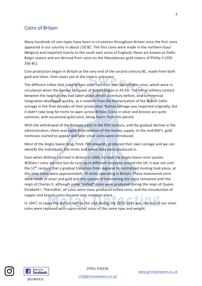#### **Coins of Britain**

Many hundreds of coin types have been in circulation throughout Britain since the first coins appeared in our country in about 150 BC. The first coins were made in the northern Gaul (Belgica) and imported mainly to the south east areas of England; these are known as Gallo-Belgic staters and are derived from coins on the Macedonian gold staters of Phillip II (359-356 BC).

Coin production began in Britain at the very end of the second century BC, made from both gold and silver, their exact use at the time is unknown.

The different tribes that ruled Britain soon had their own identifiable coins, which were in circulation when the Roman conquest of Britain began in 43 AD. The initial military contact between the two cultures had taken place almost a century before, and commercial integration developed quickly, as is evident from the Romanisation of the British Celtic coinage in the final decades of their production. Roman coinage was imported originally, but it didn't take long for mints to open across Britain. Coins in silver and bronze are quite common, with occasional gold coins, being found from this period.

With the withdrawal of the Romans early in the fifth century, and the gradual decline in the administration, there was rapid deterioration of the money supply. In the mid-600's, gold tremisses started to appear and later silver coins were introduced.

Most of the Anglo-Saxon Kings from 780 onwards, produced their own coinage and we can identify the individuals, the mints and towns they were produced in.

Even when William I arrived in Britain in 1066, he kept the Anglo-Saxon mint system. William I coins are rare but do turn up in different locations around the UK. It was not until the 12<sup>th</sup> century that a gradual transition from regional to centralised minting took place, at this time there were approximately 70 mints operating in Britain. These hammered coins were made of silver and gold and this system of hammering the coins remained until the reign of Charles II, although some "milled" coins were produced during the reign of Queen Elizabeth I. Thereafter, all coins were mass produced milled coins, and the introduction of copper and bronze coins became very common place.

In 1947, to repay the bullion lent by the USA during the 1939-1945 war, the last of our silver coins were replaced with cupro-nickel coins of the same type and weight.





crh@grimsweepers.co.uk

 $\mathsf{q}$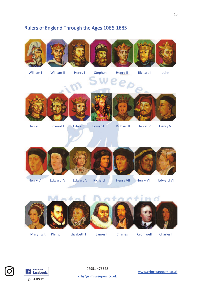### Rulers of England Through the Ages 1066-1685









W



William I

William II

Henry I

Stephen Henry II **Richard I** 

John









Henry III

Edward I

**Edward II Edward III** 

**Richard II** 

**Henry IV** 

**Henry V** 



**Henry VI** 

**Edward IV** 

**Edward V Richard III** 



**Charles I** 

**Henry VIII** 

**Edward VI** 



Mary with Phillip



Elizabeth I





James I



Cromwell



**Charles II** 





07951 476328

crh@grimsweepers.co.uk

www.grimsweepers.co.uk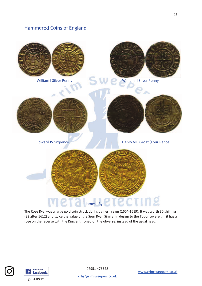### **Hammered Coins of England**



The Rose Ryal was a large gold coin struck during James I reign (1604-1619). It was worth 30 shillings (33 after 1612) and twice the value of the Spur Ryal. Similar in design to the Tudor sovereign, it has a rose on the reverse with the King enthroned on the obverse, instead of the usual head.





07951 476328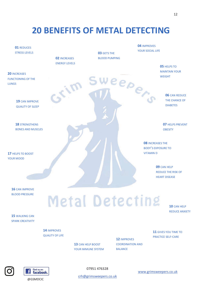### **20 BENEFITS OF METAL DETECTING**

| <b>01 REDUCES</b><br><b>STRESS LEVELS</b>                        | <b>02 INCREASES</b>         | <b>03 GETS THE</b><br><b>BLOOD PUMPING</b> | <b>04 IMPROVES</b><br>YOUR SOCIAL LIFE                                  |                                                                  |
|------------------------------------------------------------------|-----------------------------|--------------------------------------------|-------------------------------------------------------------------------|------------------------------------------------------------------|
| <b>20 INCREASES</b><br><b>FUNCTIONING OF THE</b><br><b>LUNGS</b> | <b>ENERGY LEVELS</b>        |                                            |                                                                         | <b>05 HELPS TO</b><br><b>MAINTAIN YOUR</b><br><b>WEIGHT</b>      |
| <b>19 CAN IMPROVE</b><br><b>QUALITY OF SLEEP</b>                 | $\mathcal{L}^{\mathcal{N}}$ |                                            | weeper                                                                  | <b>06 CAN REDUCE</b><br>THE CHANCE OF<br><b>DIABETES</b>         |
| <b>18 STRENGTHENS</b><br><b>BONES AND MUSCLES</b>                |                             |                                            |                                                                         | <b>07 HELPS PREVENT</b><br><b>OBESITY</b>                        |
| 17 HELPS TO BOOST<br><b>YOUR MOOD</b>                            |                             |                                            | <b>08 INCREASES THE</b><br><b>BODY'S EXPOSURE TO</b><br><b>VITAMIND</b> |                                                                  |
|                                                                  |                             |                                            |                                                                         | 09 CAN HELP<br><b>REDUCE THE RISK OF</b><br><b>HEART DISEASE</b> |
| 16 CAN IMPROVE<br><b>BLOOD PRESSURE</b>                          |                             |                                            | etecting                                                                | $10$ CAN LIFLD                                                   |

15 WALKING CAN **SPARK CREATIVITY** 

> 14 IMPROVES **QUALITY OF LIFE**

> > 13 CAN HELP BOOST YOUR IMMUNE SYSTEM

**12 IMPROVES COORDINATION AND BALANCE** 

11 GIVES YOU TIME TO

10 CAN HELP **REDUCE ANXIETY** 





@GSMDCIC

07951 476328

crh@grimsweepers.co.uk

**PRACTICE SELF-CARE**